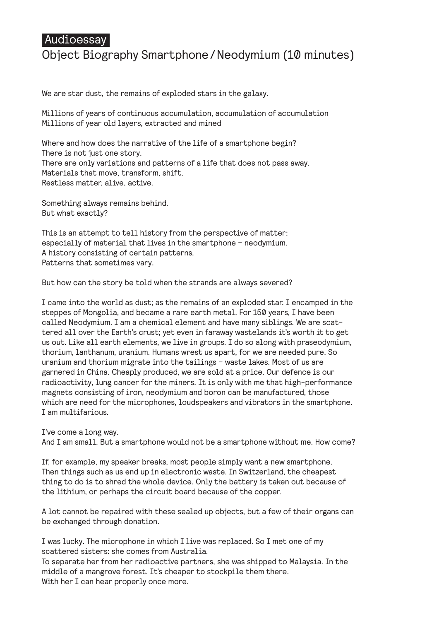## **Audioessay**

## Object Biography Smartphone/Neodymium (10 minutes)

We are star dust, the remains of exploded stars in the galaxy.

Millions of years of continuous accumulation, accumulation of accumulation Millions of year old layers, extracted and mined

Where and how does the narrative of the life of a smartphone begin? There is not just one story. There are only variations and patterns of a life that does not pass away. Materials that move, transform, shift. Restless matter, alive, active.

Something always remains behind. But what exactly?

This is an attempt to tell history from the perspective of matter: especially of material that lives in the smartphone – neodymium. A history consisting of certain patterns. Patterns that sometimes vary.

But how can the story be told when the strands are always severed?

I came into the world as dust; as the remains of an exploded star. I encamped in the steppes of Mongolia, and became a rare earth metal. For 150 years, I have been called Neodymium. I am a chemical element and have many siblings. We are scattered all over the Earth's crust; yet even in faraway wastelands it's worth it to get us out. Like all earth elements, we live in groups. I do so along with praseodymium, thorium, lanthanum, uranium. Humans wrest us apart, for we are needed pure. So uranium and thorium migrate into the tailings – waste lakes. Most of us are garnered in China. Cheaply produced, we are sold at a price. Our defence is our radioactivity, lung cancer for the miners. It is only with me that high-performance magnets consisting of iron, neodymium and boron can be manufactured, those which are need for the microphones, loudspeakers and vibrators in the smartphone. I am multifarious.

I've come a long way.

And I am small. But a smartphone would not be a smartphone without me. How come?

If, for example, my speaker breaks, most people simply want a new smartphone. Then things such as us end up in electronic waste. In Switzerland, the cheapest thing to do is to shred the whole device. Only the battery is taken out because of the lithium, or perhaps the circuit board because of the copper.

A lot cannot be repaired with these sealed up objects, but a few of their organs can be exchanged through donation.

I was lucky. The microphone in which I live was replaced. So I met one of my scattered sisters: she comes from Australia.

To separate her from her radioactive partners, she was shipped to Malaysia. In the middle of a mangrove forest. It's cheaper to stockpile them there. With her I can hear properly once more.